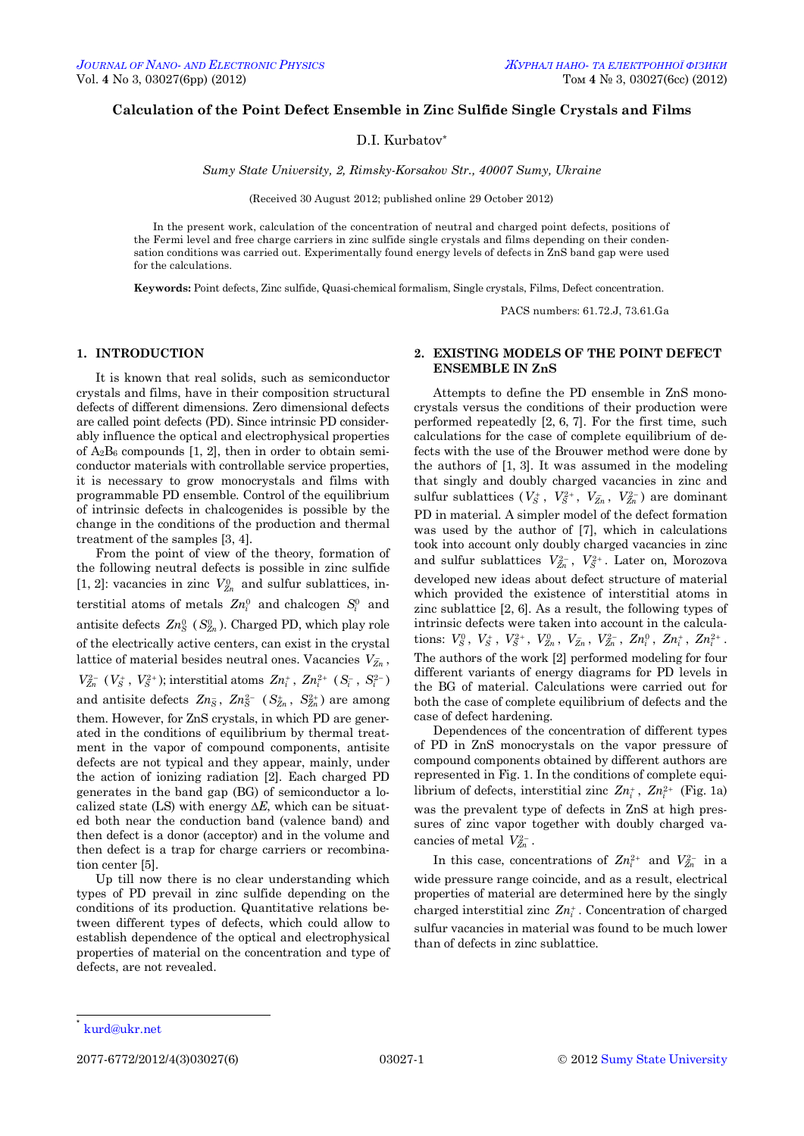# **Calculation of the Point Defect Ensemble in Zinc Sulfide Single Crystals and Films**

D.I. Kurbatov[\\*](#page-0-0)

*Sumy State University, 2, Rimsky-Korsakov Str., 40007 Sumy, Ukraine*

(Received 30 August 2012; published online 29 October 2012)

In the present work, calculation of the concentration of neutral and charged point defects, positions of the Fermi level and free charge carriers in zinc sulfide single crystals and films depending on their condensation conditions was carried out. Experimentally found energy levels of defects in ZnS band gap were used for the calculations.

**Keywords:** Point defects, Zinc sulfide, Quasi-chemical formalism, Single crystals, Films, Defect concentration.

PACS numbers: 61.72.J, 73.61.Ga

# **1. INTRODUCTION**

It is known that real solids, such as semiconductor crystals and films, have in their composition structural defects of different dimensions. Zero dimensional defects are called point defects (PD). Since intrinsic PD considerably influence the optical and electrophysical properties of  $A_2B_6$  compounds [1, 2], then in order to obtain semiconductor materials with controllable service properties, it is necessary to grow monocrystals and films with programmable PD ensemble. Control of the equilibrium of intrinsic defects in chalcogenides is possible by the change in the conditions of the production and thermal treatment of the samples [3, 4].

From the point of view of the theory, formation of the following neutral defects is possible in zinc sulfide [1, 2]: vacancies in zinc  $V_{Z_n}^0$  and sulfur sublattices, interstitial atoms of metals  $Zn_i^0$  and chalcogen  $S_i^0$  and antisite defects  $Zn_S^0$  ( $S_{Zn}^0$ ). Charged PD, which play role of the electrically active centers, can exist in the crystal lattice of material besides neutral ones. Vacancies  $V_{Zn}$  ,  $V_{Zn}^{2-}$  ( $V_s^+$ ,  $V_s^{2+}$ ); interstitial atoms  $Zn_i^+$ ,  $Zn_i^{2+}$  ( $S_i^-$ ,  $S_i^{2-}$ ) and antisite defects  $Zn_{\overline{S}}$ ,  $Zn_{\overline{S}}^2$  ( $S_{Zn}^+$ ,  $S_{Zn}^{2+}$ ) are among them. However, for ZnS crystals, in which PD are generated in the conditions of equilibrium by thermal treatment in the vapor of compound components, antisite defects are not typical and they appear, mainly, under the action of ionizing radiation [2]. Each charged PD generates in the band gap (BG) of semiconductor a localized state (LS) with energy *∆Е*, which can be situated both near the conduction band (valence band) and then defect is a donor (acceptor) and in the volume and then defect is a trap for charge carriers or recombination center [5].

Up till now there is no clear understanding which types of PD prevail in zinc sulfide depending on the conditions of its production. Quantitative relations between different types of defects, which could allow to establish dependence of the optical and electrophysical properties of material on the concentration and type of defects, are not revealed.

# **2. EXISTING MODELS OF THE POINT DEFECT ENSEMBLE IN ZnS**

Attempts to define the PD ensemble in ZnS monocrystals versus the conditions of their production were performed repeatedly [2, 6, 7]. For the first time, such calculations for the case of complete equilibrium of defects with the use of the Brouwer method were done by the authors of [1, 3]. It was assumed in the modeling that singly and doubly charged vacancies in zinc and sulfur sublattices  $(V_S^+, V_{S}^{2+}, V_{Zn}^-, V_{Zn}^{2-})$  are dominant PD in material. A simpler model of the defect formation was used by the author of [7], which in calculations took into account only doubly charged vacancies in zinc and sulfur sublattices  $V_{Z_n}^{2-}$ ,  $V_S^{2+}$ . Later on, Morozova developed new ideas about defect structure of material which provided the existence of interstitial atoms in zinc sublattice [2, 6]. As a result, the following types of intrinsic defects were taken into account in the calculations:  $V_S^0$ ,  $V_S^+$ ,  $V_S^{2+}$ ,  $V_{Zn}^0$ ,  $V_{Zn}^-$ ,  $V_{Zn}^{2-}$ ,  $Zn_i^0$ ,  $Zn_i^+$ ,  $Zn_i^{2+}$ . The authors of the work [2] performed modeling for four different variants of energy diagrams for PD levels in the BG of material. Calculations were carried out for both the case of complete equilibrium of defects and the case of defect hardening.

Dependences of the concentration of different types of PD in ZnS monocrystals on the vapor pressure of compound components obtained by different authors are represented in Fig. 1. In the conditions of complete equilibrium of defects, interstitial zinc  $Zn_i^*$ ,  $Zn_i^{2+}$  (Fig. 1a) was the prevalent type of defects in ZnS at high pressures of zinc vapor together with doubly charged vacancies of metal  $V_{Zn}^{2-}$ .

In this case, concentrations of  $Zn_i^{2+}$  and  $V_{Zn}^{2-}$  in a wide pressure range coincide, and as a result, electrical properties of material are determined here by the singly charged interstitial zinc  $Zn_i^*$ . Concentration of charged sulfur vacancies in material was found to be much lower than of defects in zinc sublattice.

<span id="page-0-0"></span><sup>\*</sup> [kurd@ukr.net](mailto:kurd@ukr.net)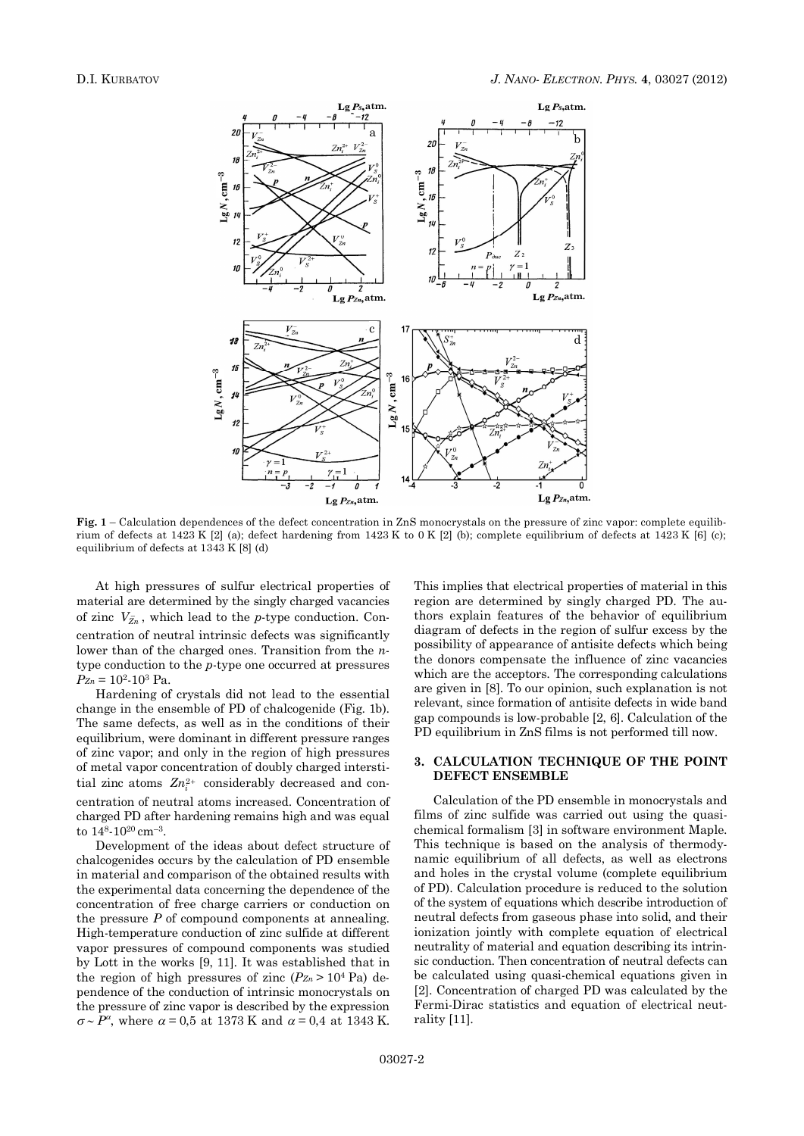

**Fig. 1** – Calculation dependences of the defect concentration in ZnS monocrystals on the pressure of zinc vapor: complete equilibrium of defects at 1423 K [2] (a); defect hardening from 1423 K to 0 K [2] (b); complete equilibrium of defects at 1423 K [6] (c); equilibrium of defects at 1343 K [8] (d)

At high pressures of sulfur electrical properties of material are determined by the singly charged vacancies of zinc  $V_{Z_n}$ , which lead to the *p*-type conduction. Concentration of neutral intrinsic defects was significantly lower than of the charged ones. Transition from the *n*type conduction to the *p*-type one occurred at pressures *РZn* = 102-103 Pa.

Hardening of crystals did not lead to the essential change in the ensemble of PD of chalcogenide (Fig. 1b). The same defects, as well as in the conditions of their equilibrium, were dominant in different pressure ranges of zinc vapor; and only in the region of high pressures of metal vapor concentration of doubly charged interstitial zinc atoms  $Zn_i^{2+}$  considerably decreased and concentration of neutral atoms increased. Concentration of charged PD after hardening remains high and was equal to 148-10<sup>20</sup> cm–3.

Development of the ideas about defect structure of chalcogenides occurs by the calculation of PD ensemble in material and comparison of the obtained results with the experimental data concerning the dependence of the concentration of free charge carriers or conduction on the pressure *P* of compound components at annealing. High-temperature conduction of zinc sulfide at different vapor pressures of compound components was studied by Lott in the works [9, 11]. It was established that in the region of high pressures of zinc  $(P_{Zn} > 10^4 \text{ Pa})$  dependence of the conduction of intrinsic monocrystals on the pressure of zinc vapor is described by the expression  $\sigma \sim P^{\alpha}$ , where  $\alpha = 0.5$  at 1373 K and  $\alpha = 0.4$  at 1343 K.

This implies that electrical properties of material in this region are determined by singly charged PD. The authors explain features of the behavior of equilibrium diagram of defects in the region of sulfur excess by the possibility of appearance of antisite defects which being the donors compensate the influence of zinc vacancies which are the acceptors. The corresponding calculations are given in [8]. To our opinion, such explanation is not relevant, since formation of antisite defects in wide band gap compounds is low-probable [2, 6]. Calculation of the PD equilibrium in ZnS films is not performed till now.

### **3. CALCULATION TECHNIQUE OF THE POINT DEFECT ENSEMBLE**

Calculation of the PD ensemble in monocrystals and films of zinc sulfide was carried out using the quasichemical formalism [3] in software environment Maple. This technique is based on the analysis of thermodynamic equilibrium of all defects, as well as electrons and holes in the crystal volume (complete equilibrium of PD). Calculation procedure is reduced to the solution of the system of equations which describe introduction of neutral defects from gaseous phase into solid, and their ionization jointly with complete equation of electrical neutrality of material and equation describing its intrinsic conduction. Then concentration of neutral defects can be calculated using quasi-chemical equations given in [2]. Concentration of charged PD was calculated by the Fermi-Dirac statistics and equation of electrical neutrality [11].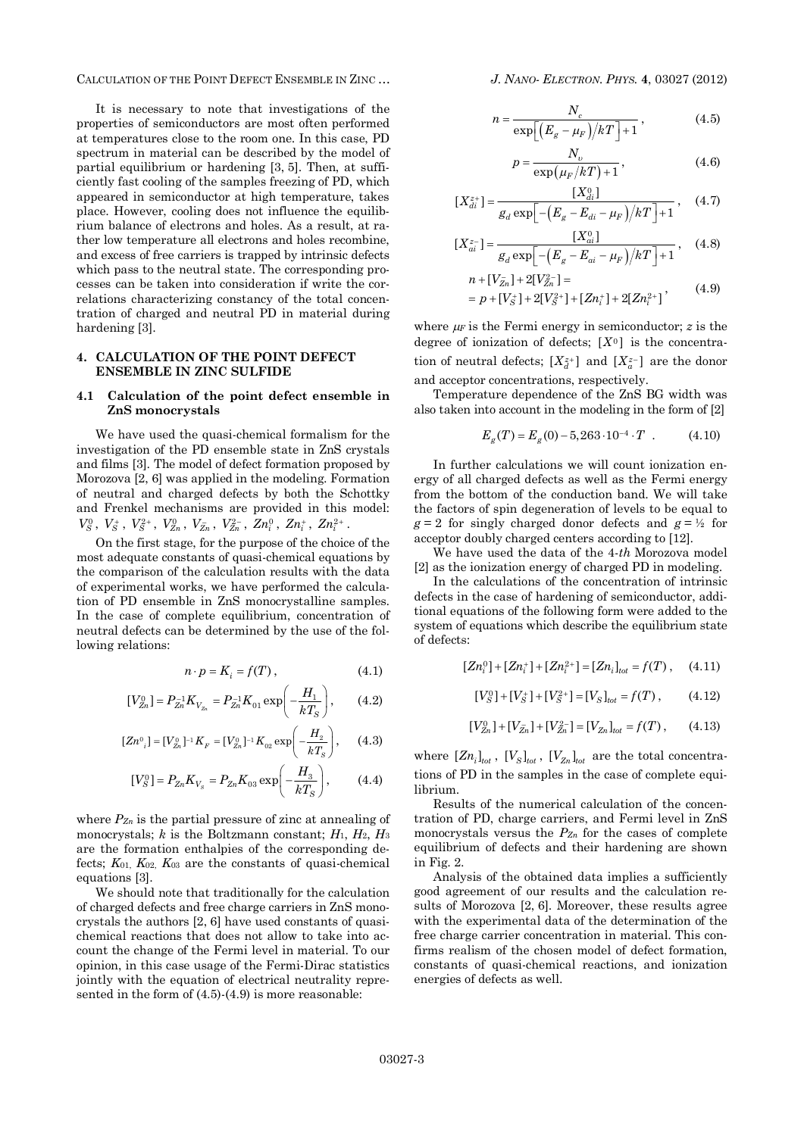CALCULATION OF THE POINT DEFECT ENSEMBLE IN ZINC … *J. NANO- ELECTRON. PHYS.* **4**, 03027 (2012)

It is necessary to note that investigations of the properties of semiconductors are most often performed at temperatures close to the room one. In this case, PD spectrum in material can be described by the model of partial equilibrium or hardening [3, 5]. Then, at sufficiently fast cooling of the samples freezing of PD, which appeared in semiconductor at high temperature, takes place. However, cooling does not influence the equilibrium balance of electrons and holes. As a result, at rather low temperature all electrons and holes recombine, and excess of free carriers is trapped by intrinsic defects which pass to the neutral state. The corresponding processes can be taken into consideration if write the correlations characterizing constancy of the total concentration of charged and neutral PD in material during hardening [3].

### **4. CALCULATION OF THE POINT DEFECT ENSEMBLE IN ZINC SULFIDE**

#### **4.1 Calculation of the point defect ensemble in ZnS monocrystals**

We have used the quasi-chemical formalism for the investigation of the PD ensemble state in ZnS crystals and films [3]. The model of defect formation proposed by Morozova [2, 6] was applied in the modeling. Formation of neutral and charged defects by both the Schottky and Frenkel mechanisms are provided in this model:  $V_S^0$ ,  $V_S^+$ ,  $V_S^{2+}$ ,  $V_{Zn}^0$ ,  $V_{Zn}^-$ ,  $V_{Zn}^{2-}$ ,  $Zn_i^0$ ,  $Zn_i^+$ ,  $Zn_i^{2+}$ .

On the first stage, for the purpose of the choice of the most adequate constants of quasi-chemical equations by the comparison of the calculation results with the data of experimental works, we have performed the calculation of PD ensemble in ZnS monocrystalline samples. In the case of complete equilibrium, concentration of neutral defects can be determined by the use of the following relations:

$$
n \cdot p = K_i = f(T) \,, \tag{4.1}
$$

$$
[V_{Zn}^{0}] = P_{Zn}^{-1} K_{V_{Zn}} = P_{Zn}^{-1} K_{01} \exp\left(-\frac{H_1}{kT_S}\right), \quad (4.2)
$$

$$
[Zn^0_{i}] = [V_{Zn}^0]^{-1} K_F = [V_{Zn}^0]^{-1} K_{02} \exp\left(-\frac{H_2}{kT_S}\right), \quad (4.3)
$$

$$
[V_S^0] = P_{Zn} K_{V_S} = P_{Zn} K_{03} \exp\left(-\frac{H_3}{kT_S}\right), \quad (4.4)
$$

where *PZn* is the partial pressure of zinc at annealing of monocrystals; *k* is the Boltzmann constant; *H*1, *H*2, *H*<sup>3</sup> are the formation enthalpies of the corresponding defects; *K*01, *K*02, *K*03 are the constants of quasi-chemical equations [3].

We should note that traditionally for the calculation of charged defects and free charge carriers in ZnS monocrystals the authors [2, 6] have used constants of quasichemical reactions that does not allow to take into account the change of the Fermi level in material. To our opinion, in this case usage of the Fermi-Dirac statistics jointly with the equation of electrical neutrality represented in the form of (4.5)-(4.9) is more reasonable:

$$
n = \frac{N_c}{\exp\left[\left(E_g - \mu_F\right)/kT\right] + 1},\tag{4.5}
$$

$$
p = \frac{N_v}{\exp(\mu_F/kT) + 1},\tag{4.6}
$$

$$
[X_{di}^{z+}] = \frac{[X_{di}^{0}]}{g_d \exp[-(E_g - E_{di} - \mu_F)/kT] + 1}, \quad (4.7)
$$

$$
[X_{ai}^{z-}] = \frac{[X_{ai}^0]}{g_d \exp[-(E_g - E_{ai} - \mu_F)/kT] + 1}, \quad (4.8)
$$

$$
n + [V_{Zn}^+] + 2[V_{Zn}^{2-}] =
$$
  
=  $p + [V_S^+] + 2[V_S^{2+}] + [Zn_i^+] + 2[Zn_i^{2+}]$ , (4.9)

where  $\mu$  is the Fermi energy in semiconductor; *z* is the degree of ionization of defects;  $[X^0]$  is the concentration of neutral defects;  $[X_d^z]$  and  $[X_a^z]$  are the donor and acceptor concentrations, respectively.

Temperature dependence of the ZnS BG width was also taken into account in the modeling in the form of [2]

$$
E_g(T) = E_g(0) - 5{,}263 \cdot 10^{-4} \cdot T . \tag{4.10}
$$

In further calculations we will count ionization energy of all charged defects as well as the Fermi energy from the bottom of the conduction band. We will take the factors of spin degeneration of levels to be equal to  $g = 2$  for singly charged donor defects and  $g = \frac{1}{2}$  for acceptor doubly charged centers according to [12].

We have used the data of the 4-*th* Morozova model [2] as the ionization energy of charged PD in modeling.

In the calculations of the concentration of intrinsic defects in the case of hardening of semiconductor, additional equations of the following form were added to the system of equations which describe the equilibrium state of defects:

$$
[Zn_i^0] + [Zn_i^+] + [Zn_i^{2+}] = [Zn_i]_{tot} = f(T), \quad (4.11)
$$

$$
[V_S^0] + [V_S^+] + [V_S^{2+}] = [V_S]_{tot} = f(T), \qquad (4.12)
$$

$$
[V_{Zn}^0] + [V_{Zn}^-] + [V_{Zn}^2] = [V_{Zn}]_{tot} = f(T), \qquad (4.13)
$$

where  $[Z_{n_i}]_{\text{tot}}$ ,  $[V_S]_{\text{tot}}$ ,  $[V_{Z_n}]_{\text{tot}}$  are the total concentrations of PD in the samples in the case of complete equilibrium.

Results of the numerical calculation of the concentration of PD, charge carriers, and Fermi level in ZnS monocrystals versus the *PZn* for the cases of complete equilibrium of defects and their hardening are shown in Fig. 2.

Analysis of the obtained data implies a sufficiently good agreement of our results and the calculation results of Morozova [2, 6]. Moreover, these results agree with the experimental data of the determination of the free charge carrier concentration in material. This confirms realism of the chosen model of defect formation, constants of quasi-chemical reactions, and ionization energies of defects as well.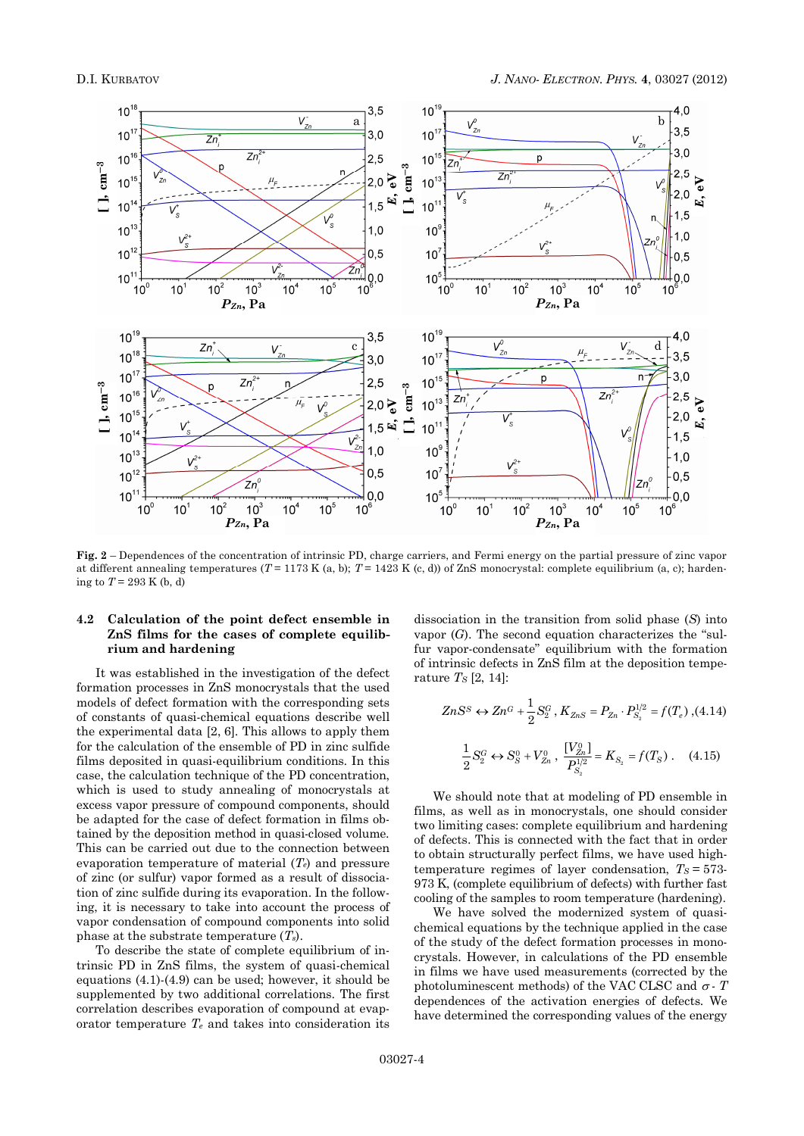

**Fig. 2** – Dependences of the concentration of intrinsic PD, charge carriers, and Fermi energy on the partial pressure of zinc vapor at different annealing temperatures (*T* = 1173 K (a, b); *T* = 1423 K (c, d)) of ZnS monocrystal: complete equilibrium (a, c); hardening to *T* = 293 K (b, d)

# **4.2 Calculation of the point defect ensemble in ZnS films for the cases of complete equilibrium and hardening**

It was established in the investigation of the defect formation processes in ZnS monocrystals that the used models of defect formation with the corresponding sets of constants of quasi-chemical equations describe well the experimental data [2, 6]. This allows to apply them for the calculation of the ensemble of PD in zinc sulfide films deposited in quasi-equilibrium conditions. In this case, the calculation technique of the PD concentration, which is used to study annealing of monocrystals at excess vapor pressure of compound components, should be adapted for the case of defect formation in films obtained by the deposition method in quasi-closed volume. This can be carried out due to the connection between evaporation temperature of material (*Tе*) and pressure of zinc (or sulfur) vapor formed as a result of dissociation of zinc sulfide during its evaporation. In the following, it is necessary to take into account the process of vapor condensation of compound components into solid phase at the substrate temperature (*Ts*).

To describe the state of complete equilibrium of intrinsic PD in ZnS films, the system of quasi-chemical equations (4.1)-(4.9) can be used; however, it should be supplemented by two additional correlations. The first correlation describes evaporation of compound at evaporator temperature  $T_e$  and takes into consideration its

dissociation in the transition from solid phase (*S*) into vapor (*G*). The second equation characterizes the "sulfur vapor-condensate" equilibrium with the formation of intrinsic defects in ZnS film at the deposition temperature *TS* [2, 14]:

$$
ZnS^S \leftrightarrow Zn^G + \frac{1}{2}S_2^G, K_{ZnS} = P_{Zn} \cdot P_{S_2}^{1/2} = f(T_e), (4.14)
$$

$$
\frac{1}{2}S_2^G \leftrightarrow S_S^0 + V_{Zn}^0, \quad \frac{[V_{Zn}^0]}{P_{S_2}^{1/2}} = K_{S_2} = f(T_S). \quad (4.15)
$$

We should note that at modeling of PD ensemble in films, as well as in monocrystals, one should consider two limiting cases: complete equilibrium and hardening of defects. This is connected with the fact that in order to obtain structurally perfect films, we have used hightemperature regimes of layer condensation, *T<sup>S</sup>* = 573- 973 K, (complete equilibrium of defects) with further fast cooling of the samples to room temperature (hardening).

We have solved the modernized system of quasichemical equations by the technique applied in the case of the study of the defect formation processes in monocrystals. However, in calculations of the PD ensemble in films we have used measurements (corrected by the photoluminescent methods) of the VAC CLSC and  $\sigma$  *- T* dependences of the activation energies of defects. We have determined the corresponding values of the energy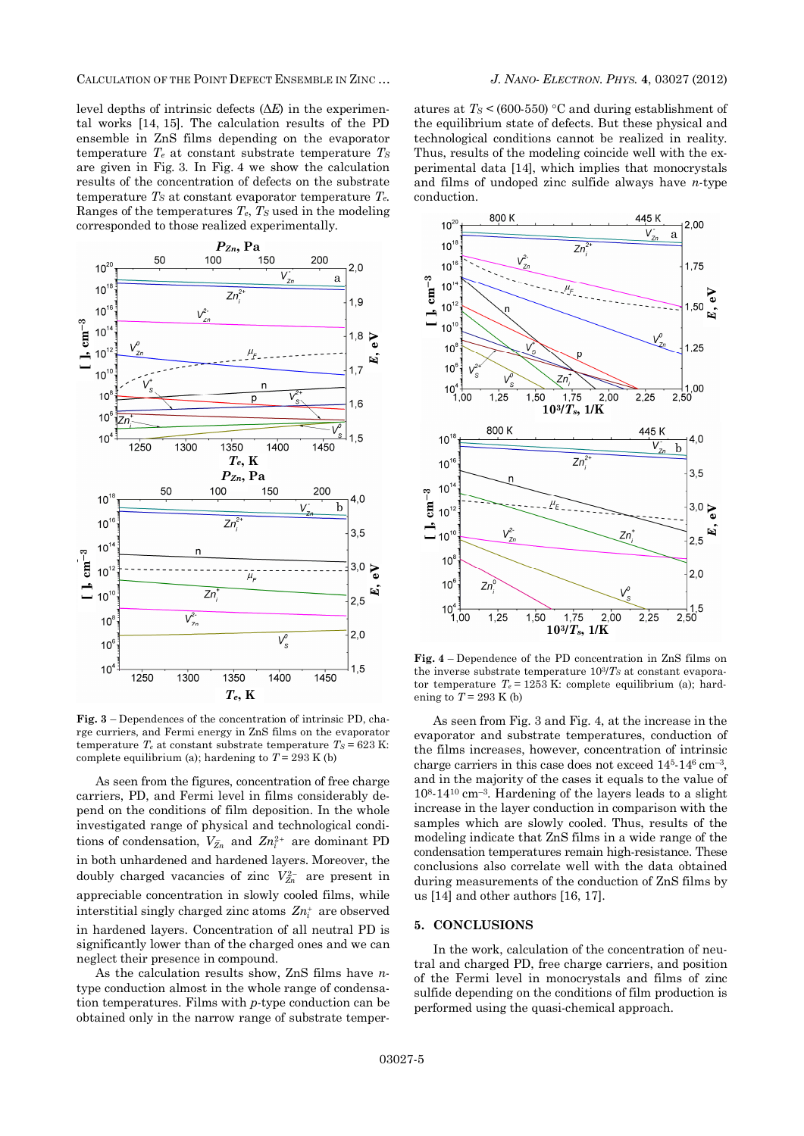CALCULATION OF THE POINT DEFECT ENSEMBLE IN ZINC … *J. NANO- ELECTRON. PHYS.* **4**, 03027 (2012)

level depths of intrinsic defects (Δ*E*) in the experimental works [14, 15]. The calculation results of the PD ensemble in ZnS films depending on the evaporator temperature *Te* at constant substrate temperature *T<sup>S</sup>* are given in Fig. 3. In Fig. 4 we show the calculation results of the concentration of defects on the substrate temperature  $T_S$  at constant evaporator temperature  $T_e$ . Ranges of the temperatures *Te*, *TS* used in the modeling corresponded to those realized experimentally.



**Fig. 3** – Dependences of the concentration of intrinsic PD, charge curriers, and Fermi energy in ZnS films on the evaporator temperature  $T_e$  at constant substrate temperature  $T_s$  = 623 K: complete equilibrium (a); hardening to  $T = 293$  K (b)

As seen from the figures, concentration of free charge carriers, PD, and Fermi level in films considerably depend on the conditions of film deposition. In the whole investigated range of physical and technological conditions of condensation,  $V_{Zn}$  and  $Zn_i^{2+}$  are dominant PD in both unhardened and hardened layers. Moreover, the doubly charged vacancies of zinc  $V_{Zn}^{2-}$  are present in appreciable concentration in slowly cooled films, while interstitial singly charged zinc atoms  $Zn_i^+$  are observed in hardened layers. Concentration of all neutral PD is significantly lower than of the charged ones and we can neglect their presence in compound.

As the calculation results show, ZnS films have *n*type conduction almost in the whole range of condensation temperatures. Films with *p*-type conduction can be obtained only in the narrow range of substrate temperatures at *T<sup>S</sup> <* (600-550) °C and during establishment of the equilibrium state of defects. But these physical and technological conditions cannot be realized in reality. Thus, results of the modeling coincide well with the experimental data [14], which implies that monocrystals and films of undoped zinc sulfide always have *n*-type conduction.



**Fig. 4** – Dependence of the PD concentration in ZnS films on the inverse substrate temperature 103/*TS* at constant evaporator temperature  $T_e = 1253$  K: complete equilibrium (a); hardening to  $T = 293$  K (b)

As seen from Fig. 3 and Fig. 4, at the increase in the evaporator and substrate temperatures, conduction of the films increases, however, concentration of intrinsic charge carriers in this case does not exceed 145-146 cm–3, and in the majority of the cases it equals to the value of  $10^{8}$ -14<sup>10</sup> cm<sup>-3</sup>. Hardening of the layers leads to a slight increase in the layer conduction in comparison with the samples which are slowly cooled. Thus, results of the modeling indicate that ZnS films in a wide range of the condensation temperatures remain high-resistance. These conclusions also correlate well with the data obtained during measurements of the conduction of ZnS films by us [14] and other authors [16, 17].

# **5. CONCLUSIONS**

In the work, calculation of the concentration of neutral and charged PD, free charge carriers, and position of the Fermi level in monocrystals and films of zinc sulfide depending on the conditions of film production is performed using the quasi-chemical approach.